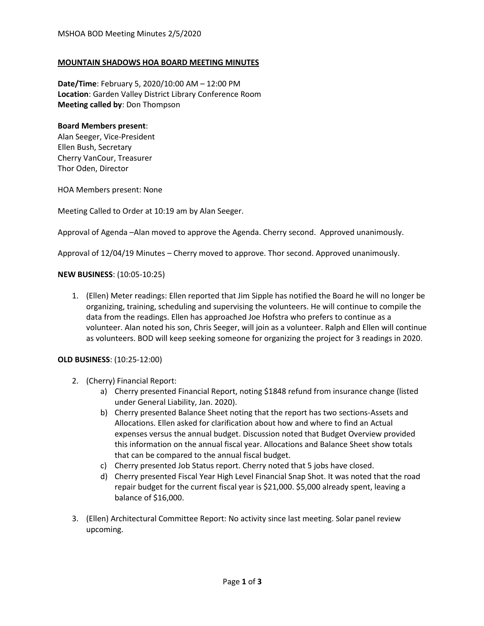#### **MOUNTAIN SHADOWS HOA BOARD MEETING MINUTES**

**Date/Time**: February 5, 2020/10:00 AM – 12:00 PM **Location**: Garden Valley District Library Conference Room **Meeting called by**: Don Thompson

#### **Board Members present**:

Alan Seeger, Vice-President Ellen Bush, Secretary Cherry VanCour, Treasurer Thor Oden, Director

HOA Members present: None

Meeting Called to Order at 10:19 am by Alan Seeger.

Approval of Agenda –Alan moved to approve the Agenda. Cherry second. Approved unanimously.

Approval of 12/04/19 Minutes – Cherry moved to approve. Thor second. Approved unanimously.

#### **NEW BUSINESS**: (10:05-10:25)

1. (Ellen) Meter readings: Ellen reported that Jim Sipple has notified the Board he will no longer be organizing, training, scheduling and supervising the volunteers. He will continue to compile the data from the readings. Ellen has approached Joe Hofstra who prefers to continue as a volunteer. Alan noted his son, Chris Seeger, will join as a volunteer. Ralph and Ellen will continue as volunteers. BOD will keep seeking someone for organizing the project for 3 readings in 2020.

### **OLD BUSINESS**: (10:25-12:00)

- 2. (Cherry) Financial Report:
	- a) Cherry presented Financial Report, noting \$1848 refund from insurance change (listed under General Liability, Jan. 2020).
	- b) Cherry presented Balance Sheet noting that the report has two sections-Assets and Allocations. Ellen asked for clarification about how and where to find an Actual expenses versus the annual budget. Discussion noted that Budget Overview provided this information on the annual fiscal year. Allocations and Balance Sheet show totals that can be compared to the annual fiscal budget.
	- c) Cherry presented Job Status report. Cherry noted that 5 jobs have closed.
	- d) Cherry presented Fiscal Year High Level Financial Snap Shot. It was noted that the road repair budget for the current fiscal year is \$21,000. \$5,000 already spent, leaving a balance of \$16,000.
- 3. (Ellen) Architectural Committee Report: No activity since last meeting. Solar panel review upcoming.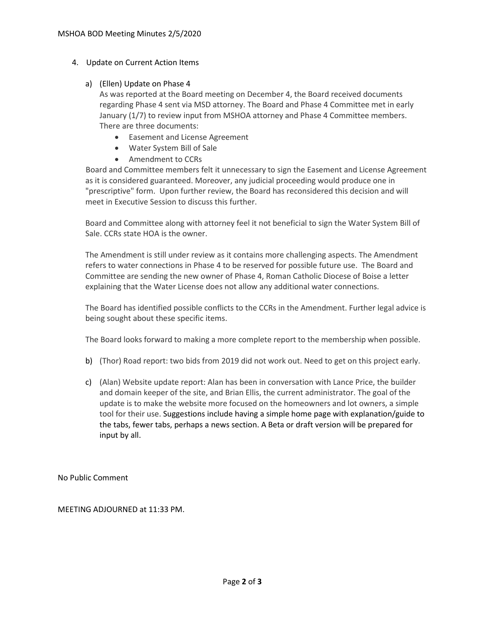## 4. Update on Current Action Items

# a) (Ellen) Update on Phase 4

As was reported at the Board meeting on December 4, the Board received documents regarding Phase 4 sent via MSD attorney. The Board and Phase 4 Committee met in early January (1/7) to review input from MSHOA attorney and Phase 4 Committee members. There are three documents:

- Easement and License Agreement
- Water System Bill of Sale
- Amendment to CCRs

Board and Committee members felt it unnecessary to sign the Easement and License Agreement as it is considered guaranteed. Moreover, any judicial proceeding would produce one in "prescriptive" form. Upon further review, the Board has reconsidered this decision and will meet in Executive Session to discuss this further.

Board and Committee along with attorney feel it not beneficial to sign the Water System Bill of Sale. CCRs state HOA is the owner.

The Amendment is still under review as it contains more challenging aspects. The Amendment refers to water connections in Phase 4 to be reserved for possible future use. The Board and Committee are sending the new owner of Phase 4, Roman Catholic Diocese of Boise a letter explaining that the Water License does not allow any additional water connections.

The Board has identified possible conflicts to the CCRs in the Amendment. Further legal advice is being sought about these specific items.

The Board looks forward to making a more complete report to the membership when possible.

- b) (Thor) Road report: two bids from 2019 did not work out. Need to get on this project early.
- c) (Alan) Website update report: Alan has been in conversation with Lance Price, the builder and domain keeper of the site, and Brian Ellis, the current administrator. The goal of the update is to make the website more focused on the homeowners and lot owners, a simple tool for their use. Suggestions include having a simple home page with explanation/guide to the tabs, fewer tabs, perhaps a news section. A Beta or draft version will be prepared for input by all.

No Public Comment

MEETING ADJOURNED at 11:33 PM.